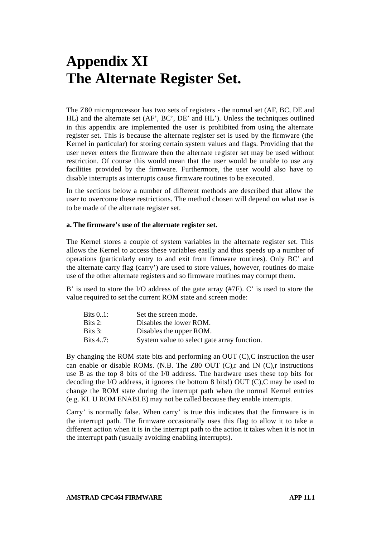# **Appendix XI The Alternate Register Set.**

The Z80 microprocessor has two sets of registers - the normal set (AF, BC, DE and HL) and the alternate set (AF', BC', DE' and HL'). Unless the techniques outlined in this appendix are implemented the user is prohibited from using the alternate register set. This is because the alternate register set is used by the firmware (the Kernel in particular) for storing certain system values and flags. Providing that the user never enters the firmware then the alternate register set may be used without restriction. Of course this would mean that the user would be unable to use any facilities provided by the firmware. Furthermore, the user would also have to disable interrupts as interrupts cause firmware routines to be executed.

In the sections below a number of different methods are described that allow the user to overcome these restrictions. The method chosen will depend on what use is to be made of the alternate register set.

## **a. The firmware's use of the alternate register set.**

The Kernel stores a couple of system variables in the alternate register set. This allows the Kernel to access these variables easily and thus speeds up a number of operations (particularly entry to and exit from firmware routines). Only BC' and the alternate carry flag (carry') are used to store values, however, routines do make use of the other alternate registers and so firmware routines may corrupt them.

B' is used to store the I/O address of the gate array (#7F). C' is used to store the value required to set the current ROM state and screen mode:

| Bits 01: | Set the screen mode.                        |
|----------|---------------------------------------------|
| Bits 2:  | Disables the lower ROM.                     |
| Bits 3:  | Disables the upper ROM.                     |
| Bits 47: | System value to select gate array function. |

By changing the ROM state bits and performing an OUT (C),C instruction the user can enable or disable ROMs. (N.B. The Z80 OUT (C),r and IN (C),r instructions use B as the top 8 bits of the I/0 address. The hardware uses these top bits for decoding the I/O address, it ignores the bottom 8 bits!) OUT (C),C may be used to change the ROM state during the interrupt path when the normal Kernel entries (e.g. KL U ROM ENABLE) may not be called because they enable interrupts.

Carry' is normally false. When carry' is true this indicates that the firmware is in the interrupt path. The firmware occasionally uses this flag to allow it to take a different action when it is in the interrupt path to the action it takes when it is not in the interrupt path (usually avoiding enabling interrupts).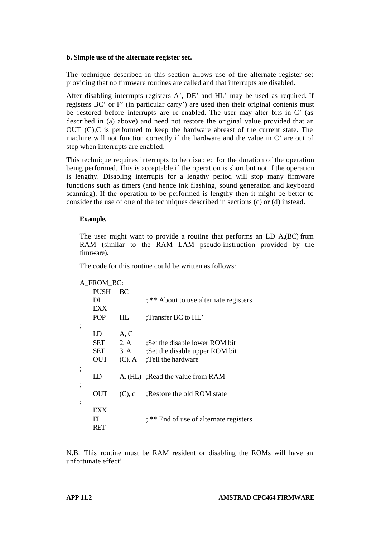## **b. Simple use of the alternate register set.**

The technique described in this section allows use of the alternate register set providing that no firmware routines are called and that interrupts are disabled.

After disabling interrupts registers A', DE' and HL' may be used as required. If registers BC' or F' (in particular carry') are used then their original contents must be restored before interrupts are re-enabled. The user may alter bits in C' (as described in (a) above) and need not restore the original value provided that an OUT (C),C is performed to keep the hardware abreast of the current state. The machine will not function correctly if the hardware and the value in C' are out of step when interrupts are enabled.

This technique requires interrupts to be disabled for the duration of the operation being performed. This is acceptable if the operation is short but not if the operation is lengthy. Disabling interrupts for a lengthy period will stop many firmware functions such as timers (and hence ink flashing, sound generation and keyboard scanning). If the operation to be performed is lengthy then it might be better to consider the use of one of the techniques described in sections (c) or (d) instead.

## **Example.**

The user might want to provide a routine that performs an LD A,(BC) from RAM (similar to the RAM LAM pseudo-instruction provided by the firmware).

The code for this routine could be written as follows:

| A FROM BC: |            |           |                                        |  |
|------------|------------|-----------|----------------------------------------|--|
|            | PUSH       | BC        |                                        |  |
|            | DI         |           | ; ** About to use alternate registers  |  |
|            | <b>EXX</b> |           |                                        |  |
|            | <b>POP</b> | HL        | :Transfer BC to HL'                    |  |
|            |            |           |                                        |  |
|            | LD         | A, C      |                                        |  |
|            | SET        | 2, A      | :Set the disable lower ROM bit         |  |
|            | SET        | 3, A      | ;Set the disable upper ROM bit         |  |
|            | OUT        | $(C)$ , A | :Tell the hardware                     |  |
|            |            |           |                                        |  |
|            | LD         |           | A, (HL) :Read the value from RAM       |  |
|            |            |           |                                        |  |
|            | OUT        | $(C)$ , c | Restore the old ROM state              |  |
|            |            |           |                                        |  |
|            | EXX        |           |                                        |  |
|            | FI         |           | ; ** End of use of alternate registers |  |
|            | RET        |           |                                        |  |

N.B. This routine must be RAM resident or disabling the ROMs will have an unfortunate effect!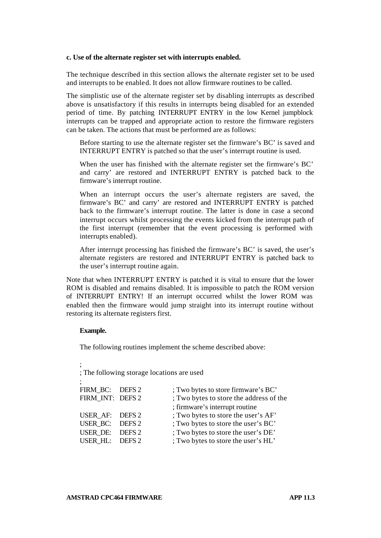### **c. Use of the alternate register set with interrupts enabled.**

The technique described in this section allows the alternate register set to be used and interrupts to be enabled. It does not allow firmware routines to be called.

The simplistic use of the alternate register set by disabling interrupts as described above is unsatisfactory if this results in interrupts being disabled for an extended period of time. By patching INTERRUPT ENTRY in the low Kernel jumpblock interrupts can be trapped and appropriate action to restore the firmware registers can be taken. The actions that must be performed are as follows:

Before starting to use the alternate register set the firmware's BC' is saved and INTERRUPT ENTRY is patched so that the user's interrupt routine is used.

When the user has finished with the alternate register set the firmware's BC' and carry' are restored and INTERRUPT ENTRY is patched back to the firmware's interrupt routine.

When an interrupt occurs the user's alternate registers are saved, the firmware's BC' and carry' are restored and INTERRUPT ENTRY is patched back to the firmware's interrupt routine. The latter is done in case a second interrupt occurs whilst processing the events kicked from the interrupt path of the first interrupt (remember that the event processing is performed with interrupts enabled).

After interrupt processing has finished the firmware's BC' is saved, the user's alternate registers are restored and INTERRUPT ENTRY is patched back to the user's interrupt routine again.

Note that when INTERRUPT ENTRY is patched it is vital to ensure that the lower ROM is disabled and remains disabled. It is impossible to patch the ROM version of INTERRUPT ENTRY! If an interrupt occurred whilst the lower ROM was enabled then the firmware would jump straight into its interrupt routine without restoring its alternate registers first.

## **Example.**

;

The following routines implement the scheme described above:

; The following storage locations are used ;

| FIRM BC: DEFS 2  | ; Two bytes to store firmware's BC'     |
|------------------|-----------------------------------------|
| FIRM INT: DEFS 2 | ; Two bytes to store the address of the |
|                  | ; firmware's interrupt routine          |
| USER AF: DEFS 2  | ; Two bytes to store the user's AF'     |
| USER BC: DEFS 2  | ; Two bytes to store the user's BC'     |
| USER DE: DEFS 2  | ; Two bytes to store the user's DE'     |
| USER HL: DEFS 2  | ; Two bytes to store the user's HL'     |
|                  |                                         |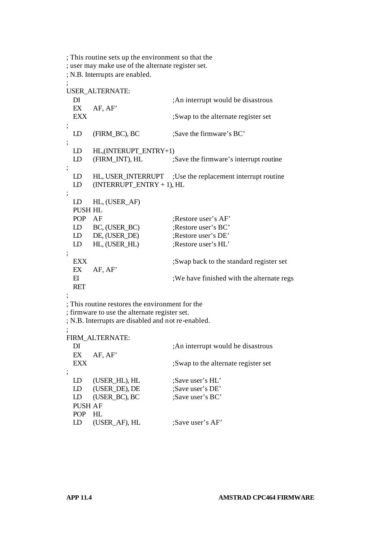; This routine sets up the environment so that the ; user may make use of the alternate register set. ; N.B. Interrupts are enabled. ; USER\_ALTERNATE: DI ;An interrupt would be disastrous EX AF, AF' EXX ;Swap to the alternate register set ; LD (FIRM BC), BC ;Save the firmware's BC' ; LD HL, (INTERUPT\_ENTRY+1) LD (FIRM INT), HL ;Save the firmware's interrupt routine ; LD HL, USER\_INTERRUPT ;Use the replacement interrupt routine LD (INTERRUPT\_ENTRY + 1), HL ; LD HL, (USER\_AF) PUSH HL POP AF :Restore user's AF' LD BC, (USER\_BC) ;Restore user's BC' LD DE, (USER\_DE) ;Restore user's DE' LD HL, (USER\_HL) ;Restore user's HL' ; EXX ;Swap back to the standard register set EX AF, AF' EI : We have finished with the alternate regs RET ; ; This routine restores the environment for the ; firmware to use the alternate register set. ; N.B. Interrupts are disabled and not re-enabled. ; FIRM\_ALTERNATE: DI ;An interrupt would be disastrous EX AF, AF' EXX :Swap to the alternate register set ; LD (USER\_HL), HL ;Save user's HL' LD (USER DE), DE ;Save user's DE' LD (USER BC), BC ;Save user's BC' PUSH AF POP HL LD (USER AF), HL ;Save user's AF'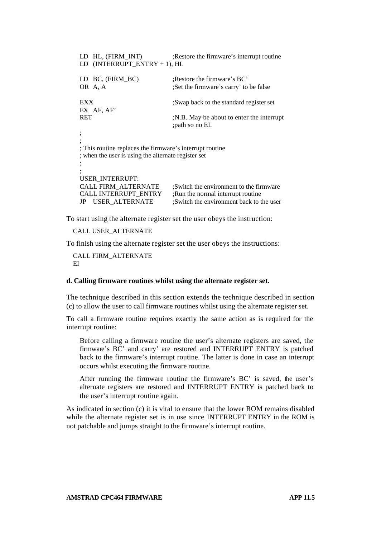| LD HL, (FIRM INT)                                                                                               | Restore the firmware's interrupt routine                                     |  |  |  |
|-----------------------------------------------------------------------------------------------------------------|------------------------------------------------------------------------------|--|--|--|
| $(INTERRUPT_ENTRY + 1), HL$<br>LD                                                                               |                                                                              |  |  |  |
| BC, (FIRM BC)<br>LD                                                                                             | Restore the firmware's BC.                                                   |  |  |  |
| OR A, A                                                                                                         | Set the firmware's carry' to be false                                        |  |  |  |
| EXX                                                                                                             | Swap back to the standard register set                                       |  |  |  |
| EX AF, AF'                                                                                                      |                                                                              |  |  |  |
| RET                                                                                                             | N.B. May be about to enter the interrupt<br>; path so no EI.                 |  |  |  |
|                                                                                                                 |                                                                              |  |  |  |
|                                                                                                                 |                                                                              |  |  |  |
| ; This routine replaces the firmware's interrupt routine<br>; when the user is using the alternate register set |                                                                              |  |  |  |
|                                                                                                                 |                                                                              |  |  |  |
|                                                                                                                 |                                                                              |  |  |  |
| USER INTERRUPT:                                                                                                 |                                                                              |  |  |  |
| <b>CALL FIRM ALTERNATE</b><br>CALL INTERRUPT ENTRY                                                              | :Switch the environment to the firmware<br>:Run the normal interrupt routine |  |  |  |
| USER ALTERNATE<br>JP                                                                                            | :Switch the environment back to the user                                     |  |  |  |

To start using the alternate register set the user obeys the instruction:

CALL USER\_ALTERNATE

To finish using the alternate register set the user obeys the instructions:

CALL FIRM\_ALTERNATE EI

#### **d. Calling firmware routines whilst using the alternate register set.**

The technique described in this section extends the technique described in section (c) to allow the user to call firmware routines whilst using the alternate register set.

To call a firmware routine requires exactly the same action as is required for the interrupt routine:

Before calling a firmware routine the user's alternate registers are saved, the firmware's BC' and carry' are restored and INTERRUPT ENTRY is patched back to the firmware's interrupt routine. The latter is done in case an interrupt occurs whilst executing the firmware routine.

After running the firmware routine the firmware's BC' is saved, the user's alternate registers are restored and INTERRUPT ENTRY is patched back to the user's interrupt routine again.

As indicated in section (c) it is vital to ensure that the lower ROM remains disabled while the alternate register set is in use since INTERRUPT ENTRY in the ROM is not patchable and jumps straight to the firmware's interrupt routine.